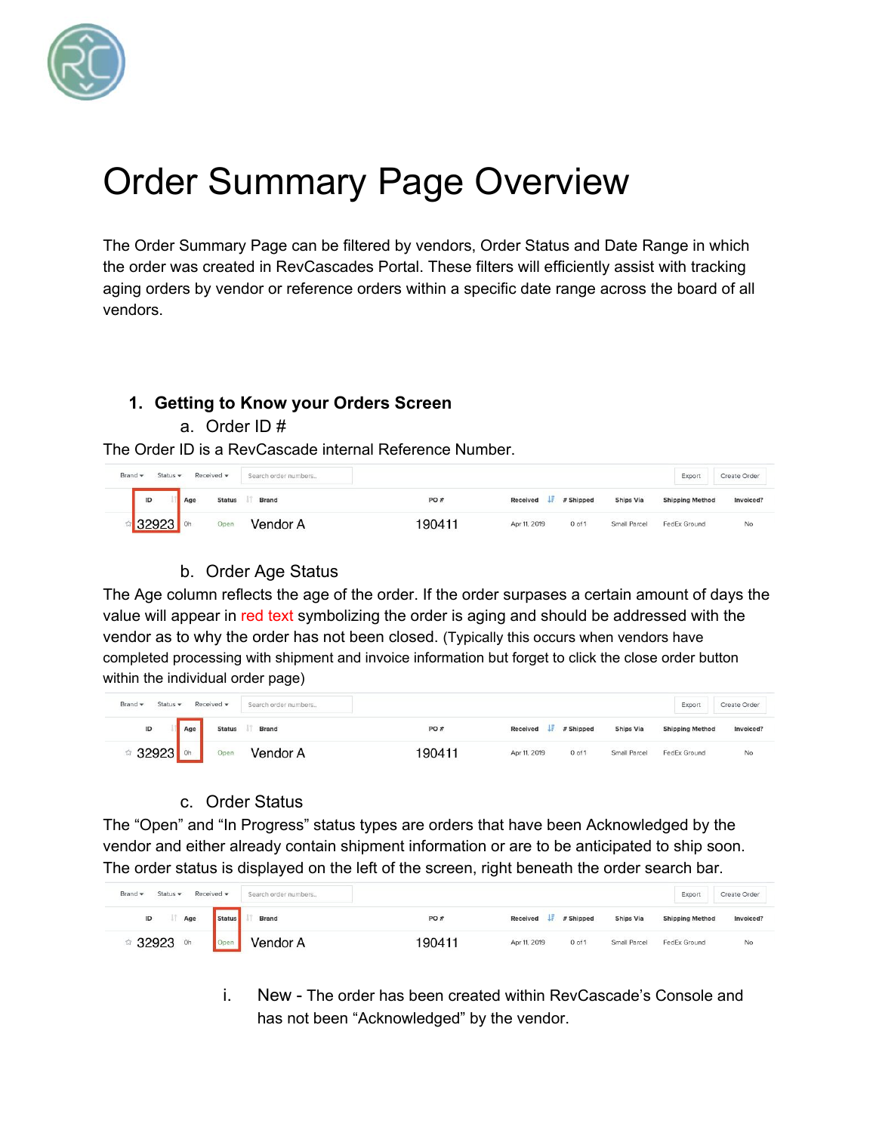

# Order Summary Page Overview

The Order Summary Page can be filtered by vendors, Order Status and Date Range in which the order was created in RevCascades Portal. These filters will efficiently assist with tracking aging orders by vendor or reference orders within a specific date range across the board of all vendors.

## **1. Getting to Know your Orders Screen**

a. Order ID #

The Order ID is a RevCascade internal Reference Number.

| Brand -<br>Status $\star$ | Received $\star$       | Search order numbers |       |              |            |                  | Export                 | Create Order |
|---------------------------|------------------------|----------------------|-------|--------------|------------|------------------|------------------------|--------------|
| ID                        | <b>Status</b><br>Age   | Brand                | PO#   | Received     | # Shipped  | <b>Ships Via</b> | <b>Shipping Method</b> | Invoiced?    |
|                           | Open<br>0 <sub>h</sub> | Vendor A             | 90411 | Apr 11, 2019 | $0$ of $1$ | Small Parcel     | FedEx Ground           | No           |

# b. Order Age Status

The Age column reflects the age of the order. If the order surpases a certain amount of days the value will appear in red text symbolizing the order is aging and should be addressed with the vendor as to why the order has not been closed. (Typically this occurs when vendors have completed processing with shipment and invoice information but forget to click the close order button within the individual order page)

| Brand -<br>Status $\star$ | Received *           | Search order numbers |        |              |                    |                  | Export                 | Create Order |
|---------------------------|----------------------|----------------------|--------|--------------|--------------------|------------------|------------------------|--------------|
| $\sf ID$                  | <b>Status</b><br>Age | Brand                | PO#    |              | Received # Shipped | <b>Ships Via</b> | <b>Shipping Method</b> | Invoiced?    |
|                           | Open                 | Vendor A             | 190411 | Apr 11, 2019 | $0$ of $1$         | Small Parcel     | FedEx Ground           | No           |

# c. Order Status

The "Open" and "In Progress" status types are orders that have been Acknowledged by the vendor and either already contain shipment information or are to be anticipated to ship soon. The order status is displayed on the left of the screen, right beneath the order search bar.

| Brand -<br>Received -<br>Status $\star$ |        | Search order numbers |        |                  |            |                  | Export                 | Create Order |
|-----------------------------------------|--------|----------------------|--------|------------------|------------|------------------|------------------------|--------------|
| ID<br>Age                               | Status | Brand                | PO#    | Received<br>- 15 | # Shipped  | <b>Ships Via</b> | <b>Shipping Method</b> | Invoiced?    |
| 32923<br>Oh                             | Open   | Vendor A             | 190411 | Apr 11, 2019     | $0$ of $1$ | Small Parcel     | FedEx Ground           | No           |

i. New - The order has been created within RevCascade's Console and has not been "Acknowledged" by the vendor.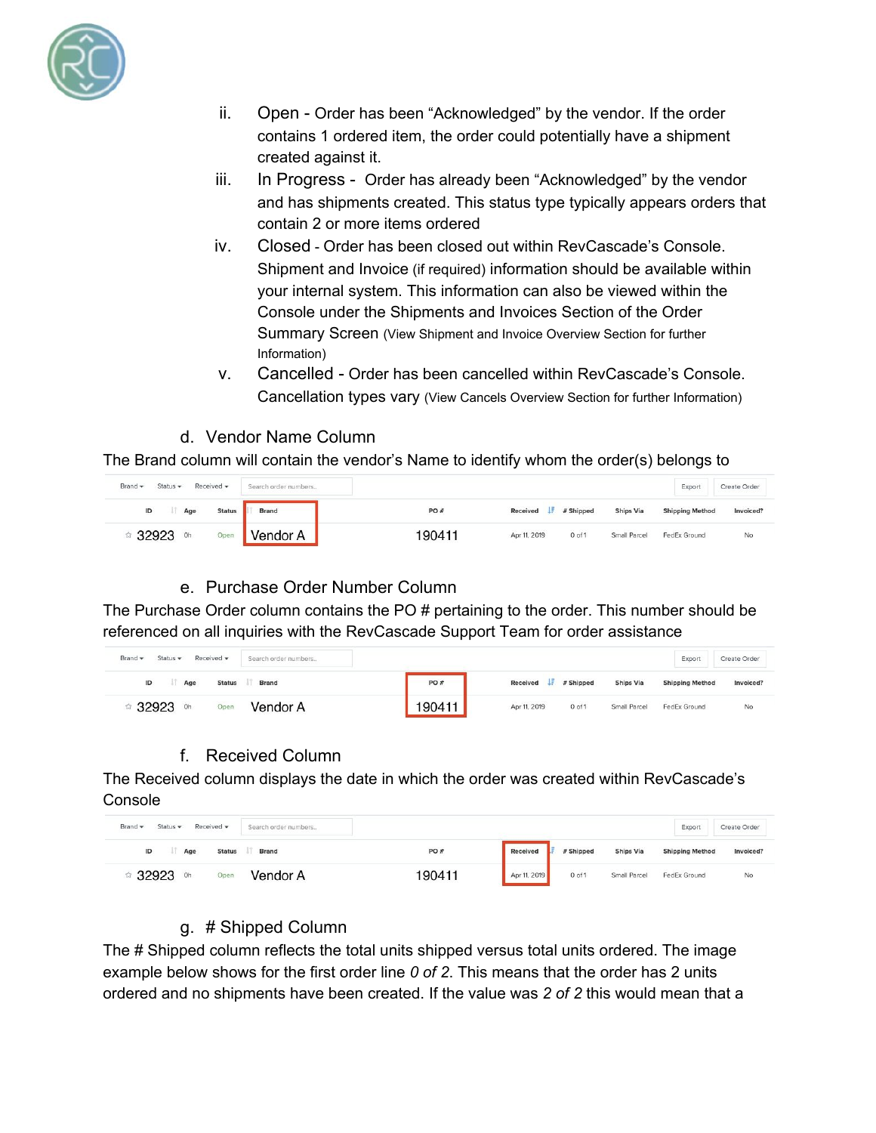

- ii. Open Order has been "Acknowledged" by the vendor. If the order contains 1 ordered item, the order could potentially have a shipment created against it.
- iii. In Progress Order has already been "Acknowledged" by the vendor and has shipments created. This status type typically appears orders that contain 2 or more items ordered
- iv. Closed Order has been closed out within RevCascade's Console. Shipment and Invoice (if required) information should be available within your internal system. This information can also be viewed within the Console under the Shipments and Invoices Section of the Order Summary Screen (View Shipment and Invoice Overview Section for further Information)
- v. Cancelled Order has been cancelled within RevCascade's Console. Cancellation types vary (View Cancels Overview Section for further Information)
- d. Vendor Name Column

The Brand column will contain the vendor's Name to identify whom the order(s) belongs to

| Brand -<br>Received -<br>Status $\star$<br><b>MARK BANK</b> | Search order numbers |        |                         |            |              | Export                 | Create Order |
|-------------------------------------------------------------|----------------------|--------|-------------------------|------------|--------------|------------------------|--------------|
| <b>Status</b><br>ID<br>Age                                  | Brand                | PO#    | <b>Received</b><br>- 15 | # Shipped  | Ships Via    | <b>Shipping Method</b> | Invoiced?    |
| 32923<br>Open<br>0 <sub>h</sub>                             | Vendor A             | 190411 | Apr 11, 2019            | $0$ of $1$ | Small Parcel | FedEx Ground           | No           |

#### e. Purchase Order Number Column

The Purchase Order column contains the PO # pertaining to the order. This number should be referenced on all inquiries with the RevCascade Support Team for order assistance

| Brand -<br>Received $\star$<br>Search order numbers<br>Status $\star$ |        |              |                    |                  | Export                 | Create Order |
|-----------------------------------------------------------------------|--------|--------------|--------------------|------------------|------------------------|--------------|
| ID<br>Brand<br><b>Status</b><br>Age                                   | PO#    |              | Received # Shipped | <b>Ships Via</b> | <b>Shipping Method</b> | Invoiced?    |
| 32923<br>Vendor A<br>Open<br>0h                                       | 190411 | Apr 11, 2019 | 0 <sub>of 1</sub>  | Small Parcel     | FedEx Ground           | No           |

#### f. Received Column

The Received column displays the date in which the order was created within RevCascade's Console

| Brand -<br>Received $\star$<br>Status $\star$ | Search order numbers |        |              |                   |                  | Export                 | Create Order |
|-----------------------------------------------|----------------------|--------|--------------|-------------------|------------------|------------------------|--------------|
| <b>Status</b><br>ID<br>Age                    | Brand                | PO#    | Received     | # Shipped         | <b>Ships Via</b> | <b>Shipping Method</b> | Invoiced?    |
| 32923<br>Open<br>0h                           | Vendor A             | 190411 | Apr 11, 2019 | 0 <sub>of 1</sub> | Small Parcel     | FedEx Ground           | No           |

#### g. # Shipped Column

The # Shipped column reflects the total units shipped versus total units ordered. The image example below shows for the first order line *0 of 2*. This means that the order has 2 units ordered and no shipments have been created. If the value was *2 of 2* this would mean that a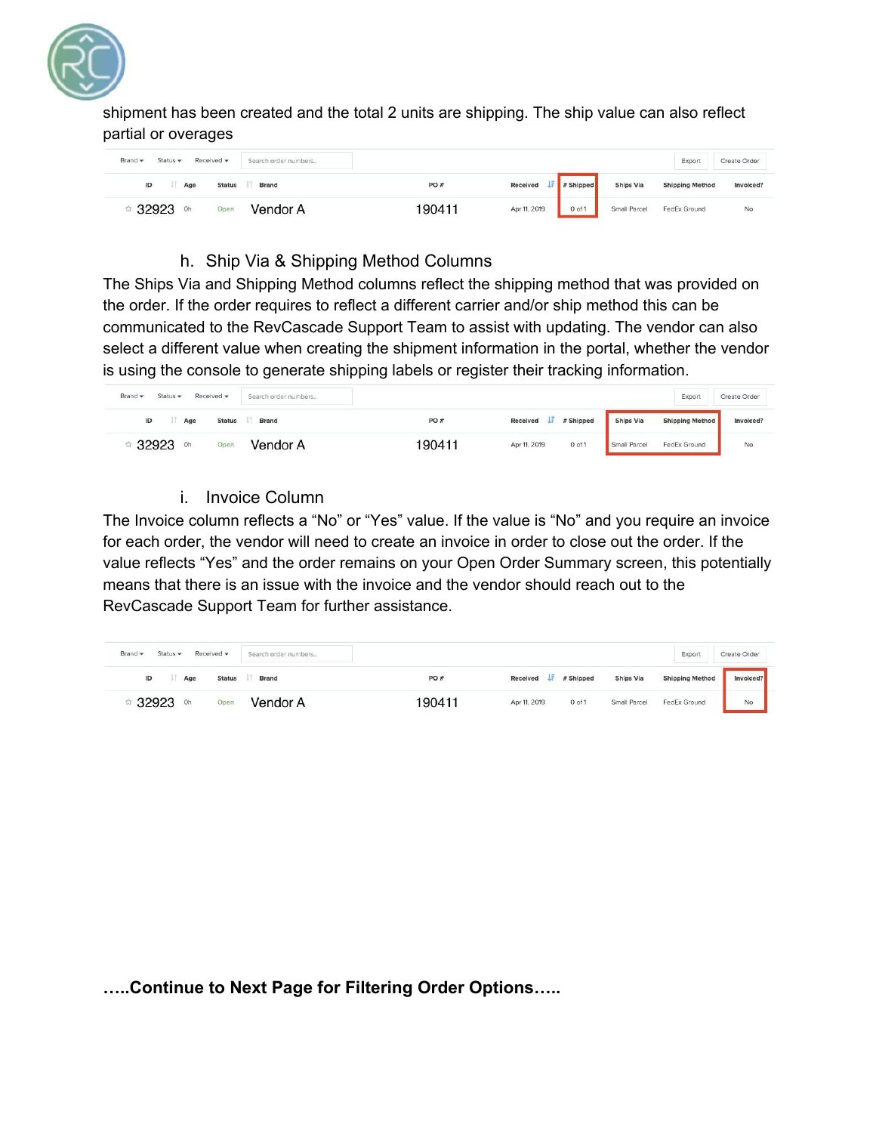

shipment has been created and the total 2 units are shipping. The ship value can also reflect partial or overages

| Brand -<br>Received *<br>Status $\star$<br>Search order numbers |        |                       |                  | Export                 | Create Order |
|-----------------------------------------------------------------|--------|-----------------------|------------------|------------------------|--------------|
| ID<br>Brand<br><b>Status</b><br>Age                             | PO#    | Received<br># Shipped | <b>Ships Via</b> | <b>Shipping Method</b> | Invoiced?    |
| Vendor A<br>Open<br>Oh                                          | 190411 | Apr 11, 2019<br>0 of  | Small Parcel     | FedEx Ground           | No           |

#### h. Ship Via & Shipping Method Columns

The Ships Via and Shipping Method columns reflect the shipping method that was provided on the order. If the order requires to reflect a different carrier and/or ship method this can be communicated to the RevCascade Support Team to assist with updating. The vendor can also select a different value when creating the shipment information in the portal, whether the vendor is using the console to generate shipping labels or register their tracking information.

| Received -<br>Brand -<br>Status $\star$ | Search order numbers |        |              |            |                  | Export                 | Create Order |
|-----------------------------------------|----------------------|--------|--------------|------------|------------------|------------------------|--------------|
| ID<br><b>Status</b><br>Age              | Brand                | PO#    | Received I   | # Shipped  | <b>Ships Via</b> | <b>Shipping Method</b> | Invoiced?    |
| 32923<br>Open<br>Oh                     | Vendor A             | 190411 | Apr 11, 2019 | $0$ of $1$ | Small Parcel     | FedEx Ground           | No           |

i. Invoice Column

The Invoice column reflects a "No" or "Yes" value. If the value is "No" and you require an invoice for each order, the vendor will need to create an invoice in order to close out the order. If the value reflects "Yes" and the order remains on your Open Order Summary screen, this potentially means that there is an issue with the invoice and the vendor should reach out to the RevCascade Support Team for further assistance.

| Brand - | Status $\star$ | Received -    | Search order numbers |        |              |            |                  | Export                 | Create Order |
|---------|----------------|---------------|----------------------|--------|--------------|------------|------------------|------------------------|--------------|
| ID      | Age            | <b>Status</b> | <b>Brand</b>         | PO#    | Received     | # Shipped  | <b>Ships Via</b> | <b>Shipping Method</b> | Invoiced?    |
| 32923   | Oh.            | Open          | Vendor A             | 190411 | Apr 11, 2019 | $0$ of $1$ | Small Parcel     | FedEx Ground           | No           |

**…..Continue to Next Page for Filtering Order Options…..**